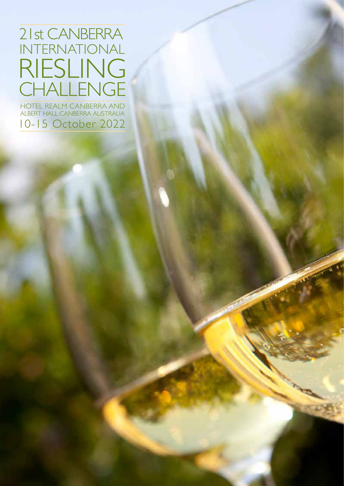# 21st CANBERRA INTERNATIONAL RIESLING CHALLENGE

HOTEL REALM CANBERRA AND ALBERT HALL CANBERRA AUSTRALIA 10-15 October 2022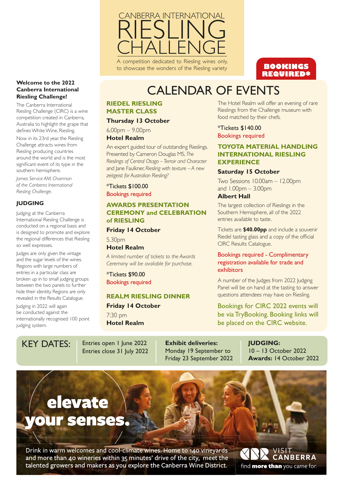

A competition dedicated to Riesling wines only, to showcase the wonders of the Riesling variety

# **BOOKINGS REQUIRED\***

# CALENDAR OF EVENTS

# **RIEDEL RIESLING MASTER CLASS**

### **Thursday 13 October**

6.00pm – 9.00pm

# **Hotel Realm**

An expert guided tour of outstanding Rieslings. Presented by Cameron Douglas MS, *The Rieslings of Central Otago – Terroir and Character* and Jane Faulkner, *Riesling with texture – A new zeitgeist for Australian Riesling?*

\*Tickets \$100.00 Bookings required

# **AWARDS PRESENTATION CEREMONY and CELEBRATION of RIESLING**

### **Friday 14 October**

5.30pm **Hotel Realm**

*A limited number of tickets to the Awards Ceremony will be available for purchase.* 

\*Tickets \$90.00 Bookings required

# **REALM RIESLING DINNER**

**Friday 14 October** 7:30 pm **Hotel Realm**

The Hotel Realm will offer an evening of rare Rieslings from the Challenge museum with food matched by their chefs.

\*Tickets \$140.00 Bookings required

# **TOYOTA MATERIAL HANDLING INTERNATIONAL RIESLING EXPERIENCE**

# **Saturday 15 October**

Two Sessions 10.00am – 12.00pm and 1.00pm – 3.00pm

# **Albert Hall**

The largest collection of Rieslings in the Southern Hemisphere, all of the 2022 entries available to taste.

Tickets are **\$40.00pp** and include a souvenir Riedel tasting glass and a copy of the official CIRC Results Catalogue.

# Bookings required - Complimentary registration available for trade and exhibitors

A number of the Judges from 2022 Judging Panel will be on hand at the tasting to answer questions attendees may have on Riesling.

Bookings for CIRC 2022 events will be via TryBooking. Booking links will be placed on the CIRC website.

judging system.

internationally recognised 100 point

**Welcome to the 2022 Canberra International Riesling Challenge!**  The Canberra International Riesling Challenge (CIRC) is a wine competition created in Canberra, Australia to highlight the grape that defines White Wine, Riesling. Now in its 23rd year, the Riesling Challenge attracts wines from Riesling producing countries around the world and is the most significant event of its type in the

southern hemisphere. *James Service AM, Chairman of the Canberra International*

Judging at the Canberra

International Riesling Challenge is conducted on a regional basis and is designed to promote and explore the regional differences that Riesling

Judges are only given the vintage and the sugar levels of the wines. Regions with large numbers of entries in a particular class are broken up in to small judging groups between the two panels to further hide their identity. Regions are only revealed in the Results Catalogue. Judging in 2022 will again be conducted against the

*Riesling Challenge.*

so well expresses.

**JUDGING**

KEY DATES: | Entries open I June 2022 Entries close 31 July 2022 **Exhibit deliveries:** Monday 19 September to Friday 23 September 2022

**JUDGING:** 10 – 13 October 2022 **Awards:** 14 October 2022

# elevate our senses.

Drink in warm welcomes and cool-climate wines. Home to 140 vineyards and more than 40 wineries within 35 minutes' drive of the city, meet the talented growers and makers as you explore the Canberra Wine District.

'ISIT **CANBERRA** find **more than** you came for.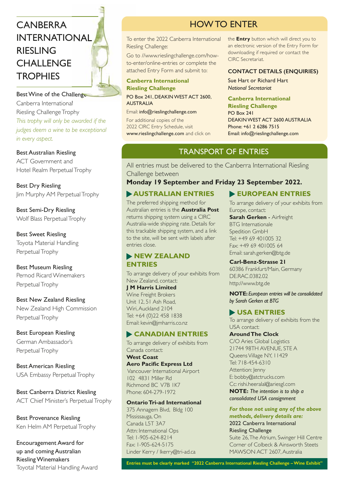# CANBERRA INTERNATIONAL RIESLING **CHALLENGE TROPHIES**

Best Wine of the Challenge Canberra International Riesling Challenge Trophy *This trophy will only be awarded if the judges deem a wine to be exceptional in every aspect.*

# Best Australian Riesling

ACT Government and Hotel Realm Perpetual Trophy

Best Dry Riesling Jim Murphy AM Perpetual Trophy

Best Semi-Dry Riesling Wolf Blass Perpetual Trophy

Best Sweet Riesling Toyota Material Handling Perpetual Trophy

Best Museum Riesling Pernod Ricard Winemakers Perpetual Trophy

Best New Zealand Riesling New Zealand High Commission Perpetual Trophy

# Best European Riesling

German Ambassador's Perpetual Trophy

Best American Riesling USA Embassy Perpetual Trophy

Best Canberra District Riesling ACT Chief Minister's Perpetual Trophy

Best Provenance Riesling Ken Helm AM Perpetual Trophy

Encouragement Award for up and coming Australian Riesling Winemakers Toyotal Material Handling Award

# HOW TO ENTER

To enter the 2022 Canberra International Riesling Challenge:

Go to //www.rieslingchallenge.com/howto-enter/online-entries or complete the attached Entry Form and submit to:

# **Canberra International Riesling Challenge** PO Box 241, DEAKIN WEST ACT 2600,

AUSTRALIA Email: info@rieslingchallenge.com For additional copies of the

2022 CIRC Entry Schedule, visit www.rieslingchallenge.com and click on the **Entry** button which will direct you to an electronic version of the Entry Form for downloading if required or contact the CIRC Secretariat.

### **CONTACT DETAILS (ENQUIRIES)**

Sue Hart or Richard Hart *National Secretariat*

# **Canberra International**

**Riesling Challenge** PO Box 241 DEAKIN WEST ACT 2600 AUSTRALIA Phone: +61 2 6286 7515 Email: info@rieslingchallenge.com

# TRANSPORT OF ENTRIES

All entries must be delivered to the Canberra International Riesling Challenge between

# **Monday 19 September and Friday 23 September 2022.**

# **AUSTRALIAN ENTRIES**

The preferred shipping method for Australian entries is the **Australia Post** returns shipping system using a CIRC Australia-wide shipping rate. Details for this trackable shipping system, and a link to the site, will be sent with labels after entries close.

# **NEW ZEALAND ENTRIES**

To arrange delivery of your exhibits from New Zealand, contact:

**J M Harris Limited**  Wine Freight Brokers Unit 12, 51 Ash Road, Wiri, Auckland 2104 Tel: +64 (0)22 458 1838 Email: kevin@jmharris.co.nz

# **CANADIAN ENTRIES**

To arrange delivery of exhibits from Canada contact: **West Coast**

**Aero Pacific Express Ltd**  Vancouver International Airport 102 4831 Miller Rd Richmond BC V7B 1K7 Phone: 604-279-1972

# **Ontario Tri-ad International**

375 Annagem Blvd, Bldg 100 Mississauga, On Canada L5T 3A7 Attn: International Ops Tel: 1-905-624-8214 Fax: 1-905-624-5175 Linder Kerry / lkerry@tri-ad.ca

# **EUROPEAN ENTRIES**

To arrange delivery of your exhibits from Europe, contact:

**Sarah Gerken** - Airfreight BTG Internationale Spedition GmbH Tel: +49 69 401005 32 Fax: +49 69 401005 64 Email: sarah.gerken@btg.de

**Carl-Benz-Strasse 21** 60386 Frankfurt/Main, Germany DE.RAC.0382.02

http://www.btg.de

**NOTE:** *European entries will be consolidated by Sarah Gerken at BTG*

# **USA ENTRIES**

To arrange delivery of exhibits from the USA contact:

### **Around The Clock**

C/O Aries Global Logistics 21744 98TH AVENUE, STE A Queens Village NY, 11429 Tel: 718-454-6310 Attention: Jenny E: bobby@atctrucks.com Cc: rishi.heeralal@ariesgl.com

**NOTE:** *The intention is to ship a consolidated USA consignment*

*For those not using any of the above methods, delivery details are:* 2022 Canberra International Riesling Challenge Suite 26, The Atrium, Swinger Hill Centre Corner of Colbeck & Ainsworth Steets MAWSON ACT 2607, Australia

**Entries must be clearly marked "2022 Canberra International Riesling Challenge – Wine Exhibit"**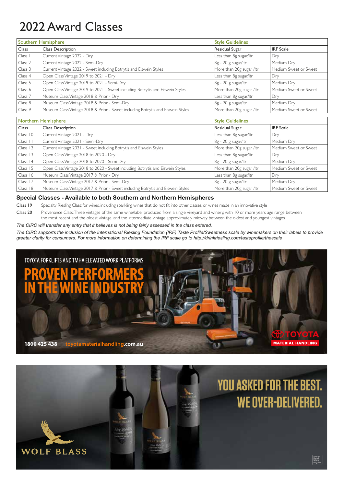# 2022 Award Classes

**WOLF BLASS** 

|         | Southern Hemisphere                                                             | <b>Style Guidelines</b>  |                       |
|---------|---------------------------------------------------------------------------------|--------------------------|-----------------------|
| Class   | <b>Class Description</b>                                                        | Residual Sugar           | <b>IRF</b> Scale      |
| Class I | Current Vintage 2022 - Dry                                                      | Less than 8g sugar/ltr   | Dry                   |
| Class 2 | Current Vintage 2022 - Semi-Dry                                                 | 8g - 20 g sugar/ltr      | Medium Dry            |
| Class 3 | Current Vintage 2022 - Sweet including Botrytis and Eiswein Styles              | More than 20g sugar /ltr | Medium Sweet or Sweet |
| Class 4 | Open Class Vintage 2019 to 2021 - Dry                                           | Less than 8g sugar/ltr   | , Dry                 |
| Class 5 | Open Class Vintage 2019 to 2021 - Semi-Dry                                      | 8g - 20 g sugar/ltr      | Medium Dry            |
| Class 6 | Open Class Vintage 2019 to 2021 - Sweet including Botrytis and Eiswein Styles   | More than 20g sugar /ltr | Medium Sweet or Sweet |
| Class 7 | Museum Class Vintage 2018 & Prior - Dry                                         | Less than 8g sugar/ltr   | Dry                   |
| Class 8 | Museum Class Vintage 2018 & Prior - Semi-Dry                                    | 8g - 20 g sugar/ltr      | Medium Dry            |
| Class 9 | Museum Class Vintage 2018 & Prior - Sweet including Botrytis and Eiswein Styles | More than 20g sugar /ltr | Medium Sweet or Sweet |
|         |                                                                                 |                          |                       |
|         | Northern Hemisphere                                                             | <b>Style Guidelines</b>  |                       |
| Class   | <b>Class Description</b>                                                        | Residual Sugar           | <b>IRF</b> Scale      |
|         |                                                                                 |                          |                       |

| Class    | <b>Class Description</b>                                                        | Residual Sugar           | <b>IRF</b> Scale      |
|----------|---------------------------------------------------------------------------------|--------------------------|-----------------------|
| Class 10 | Current Vintage 2021 - Dry                                                      | Less than 8g sugar/ltr   | l Dry                 |
| Class 11 | Current Vintage 2021 - Semi-Dry                                                 | 8g - 20 g sugar/ltr      | Medium Dry            |
| Class 12 | Current Vintage 2021 - Sweet including Botrytis and Eiswein Styles              | More than 20g sugar /ltr | Medium Sweet or Sweet |
| Class 13 | Open Class Vintage 2018 to 2020 - Dry                                           | Less than 8g sugar/ltr   | Dry                   |
| Class 14 | Open Class Vintage 2018 to 2020 - Semi-Dry                                      | 8g - 20 g sugar/ltr      | Medium Dry            |
| Class 15 | Open Class Vintage 2018 to 2020 - Sweet including Botrytis and Eiswein Styles   | More than 20g sugar /ltr | Medium Sweet or Sweet |
| Class 16 | Museum Class Vintage 2017 & Prior - Dry                                         | Less than 8g sugar/ltr   | Dry                   |
| Class 17 | Museum Class Vintage 2017 & Prior - Semi-Dry                                    | 8g - 20 g sugar/ltr      | Medium Dry            |
| Class 18 | Museum Class Vintage 2017 & Prior - Sweet including Botrytis and Eiswein Styles | More than 20g sugar /ltr | Medium Sweet or Sweet |

### **Special Classes - Available to both Southern and Northern Hemispheres**

Class 19 Specialty Riesling Class: for wines, including sparkling wines that do not fit into other classes, or wines made in an innovative style

Class 20 Provenance Class: Three vintages of the same wine/label produced from a single vineyard and winery, with 10 or more years age range between the most recent and the oldest vintage, and the intermediate vintage approximately midway between the oldest and youngest vintages.

*The CIRC will transfer any entry that it believes is not being fairly assessed in the class entered.*

*The CIRC supports the inclusion of the International Riesling Foundation (IRF) Taste Profi le/Sweetness scale by winemakers on their labels to provide greater clarity for consumers. For more information on determining the IRF scale go to http://drinkriesling.com/tasteprofi le/thescale*



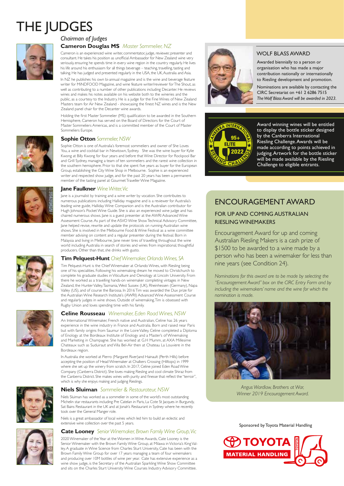# THE JUDGES



# *Chairman of Judges*

**Cameron Douglas MS** *Master Sommelier, NZ*

Cameron is an experienced wine writer, commentator, judge, reviewer, presenter and consultant. He takes his position as unofficial Ambassador for New Zealand wine very seriously, ensuring he spends time in every wine region in the country regularly. He lives his life around his enthusiasm for all things beverage – teaching, travelling, tasting and talking. He has judged and presented regularly in the USA, the UK, Australia and Asia.

In NZ he publishes his own bi-annual magazine and is the wine and beverage feature writer for MiNDFOOD Magazine, and wine feature writer/reviewer for The Shout, as well as contributing to a number of other publications including Decanter. He reviews wines and makes his notes available on his website both to the wineries and the public, as a courtesy to the Industry. He is a judge for the Fine Wines of New Zealand Masters team for Air New Zealand - showcasing the finest NZ wines and is the New Zealand panel chair for the Decanter wine awards.

Holding the first Master Sommelier (MS) qualification to be awarded in the Southern Hemisphere, Cameron has served on the Board of Directors for the Court of Master Sommeliers Americas, and is a committed member of the Court of Master Sommeliers Europe.



### **Sophie Otton** *Sommelier, NSW*

Sophie Otton is one of Australia's foremost sommeliers and owner of She Loves You, a wine and cocktail bar in Newtown, Sydney. She was the wine buyer for Kylie Kwong at Billy Kwong for four years and before that Wine Director for Rockpool Bar and Grill Sydney, managing a team of ten sommeliers and the rarest wine collection in the southern hemisphere. Prior to that she spent five years as buyer for the European Group, establishing the City Wine Shop in Melbourne. Sophie is an experienced writer and respected show judge, and for the past 20 years has been a permanent member of the tasting panel at Gourmet Traveller Wine Magazine.



#### **Jane Faulkner** *Wine Writer, Vic*

Jane is a journalist by training and a wine writer by vocation. She contributes to numerous publications including Halliday magazine and is a reviewer for Australia's leading wine guide, Halliday Wine Companion and is the Australian contributor for Hugh Johnson's Pocket Wine Guide. She is also an experienced wine judge and has chaired numerous shows. Jane is a guest presenter at the AWRI Advanced Wine Assessment Course. As part of the ASVO Wine Show Technical Advisory Committee, Jane helped revise, rewrite and update the protocols on running Australian wine shows. She is involved in the Melbourne Food & Wine Festival as a wine committee member advising on content and a regular presenter during the festival. Born in Malaysia and living in Melbourne, Jane never tires of travelling throughout the wine world including Australia in search of stories and wines from inspirational, thoughtful producers. Other than that, she drinks with gusto.



#### **Tim Pelquest-Hunt** *Chief Winemaker, Orlando Wines, SA*

Tim Pelquest-Hunt is the Chief Winemaker at Orlando Wines, with Riesling being one of his specialities. Following his winemaking dream he moved to Christchurch to complete his graduate studies in Viticulture and Oenology at Lincoln University. From there he worked as a travelling hands-on winemaker completing vintages in New Zealand, the Hunter Valley, Tasmania, West Sussex (UK), Rheinhessen (Germany), Napa Valley (US), and of course the Barossa. In 2016 Tim was awarded the Dux prize for the Australian Wine Research Institute's (AWRI) Advanced Wine Assessment Course and regularly judges in wine shows. Outside of winemaking, Tim is obsessed with Rugby Union and loves spending time with his family.



### **Celine Rousseau** *Winemaker, Eden Road Wines, NSW*

An International Winemaker, French native and Australian, Celine has 26 years experience in the wine industry in France and Australia. Born and raised near Paris but with family origins from Saumur in the Loire Valley, Celine completed a Diploma of Enology at the Bordeaux Institute of Enology and a Master's of Winemaking and Marketing in Champagne. She has worked at G.H Mumm, at AXA Millesime Chateaux such as Suduiraut and Villa Bel-Air then at Chateau La Louviere in the Bordeaux region.

In Australia she worked at Pierro (Margaret River)and Hainault (Perth Hills) before accepting the position of Head Winemaker at Chalkers Crossing (Hilltops) in 1999 where she set up the winery from scratch. In 2017, Celine joined Eden Road Wine Company (Canberra District). She loves making Riesling and cool climate Shiraz from the Canberra District. She makes wines with purity and finesse that reflect the "terroir", which is why she enjoys making and judging Rieslings.



#### **Niels Sluiman** *Sommelier & Restaurateur, NSW*

Niels Sluiman has worked as a sommelier in some of the world's most outstanding Michelin star restaurants including Pre Catelan in Paris, La Cote St Jacques in Burgundy, Sat Bains Restaurant in the UK and at Jonah's Restaurant in Sydney where he recently took over the General Manger role.

Niels is a great ambassador of local wines which led him to build an eclectic and extensive wine collection over the past 5 years.

### **Cate Looney** *Senior Winemaker, Brown Family Wine Group, Vic*

2020 Winemaker of the Year at the Women in Wine Awards, Cate Looney is the Senior Winemaker with the Brown Family Wine Group, at Milawa in Victoria's King Valley. A graduate in Wine Science from Charles Sturt University, Cate has been with the Brown Family Wine Group for over 17 years managing a team of four winemakers and producing over 10M bottles of wine per year. Cate has extensive experience as a wine show judge, is the Secretary of the Australian Sparkling Wine Show Committee and sits on the Charles Sturt University Wine Courses Industry Advisory Committee.



## WOLF BLASS AWARD

Awarded biennially to a person or organisation who has made a major contribution nationally or internationally to Riesling development and promotion.

Nominations are available by contacting the CIRC Secretariat on +61 2 6286 7515 *The Wolf Blass Award will be awarded in 2023.*



Award winning wines will be entitled to display the bottle sticker designed by the Canberra International Riesling Challenge. Awards will be made according to points achieved in judging. Artwork for the bottle sticker will be made available by the Riesling Challenge to eligible entrants.

# ENCOURAGEMENT AWARD

# FOR UP AND COMING AUSTRALIAN RIESLING WINEMAKERS

Encouragement Award for up and coming Australian Riesling Makers is a cash prize of \$1500 to be awarded to a wine made by a person who has been a winemaker for less than nine years (see Condition 24).

*Nominations for this award are to be made by selecting the "Encouragement Award" box on the CIRC Entry Form and by including the winemakers' name and the wine for which the nomination is made.*



*Angus Wardlaw, Brothers at War, Winner 2019 Encouragement Award.*

Sponsored by Toyota Material Handling

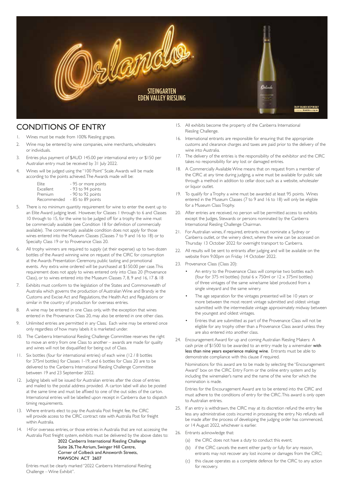![](_page_5_Picture_0.jpeg)

# CONDITIONS OF ENTRY

- 1. Wines must be made from 100% Riesling grapes.
- 2. Wine may be entered by wine companies, wine merchants, wholesalers or individuals.
- 3. Entries plus payment of \$AUD 145.00 per international entry or \$150 per Australian entry must be received by 31 July 2022.
- 4. Wines will be judged using the "100 Point" Scale. Awards will be made according to the points achieved. The Awards made will be:

| Flite.           | - 95 or more points |
|------------------|---------------------|
| <b>Excellent</b> | - 93 to 94 points   |
| Premium          | - 90 to 92 points   |
| Recommended      | - 85 to 89 points   |

- 5. There is no minimum quantity requirement for wine to enter the event up to an Elite Award judging level. However, for Classes 1 through to 6 and Classes 10 through to 15, for the wine to be judged off for a trophy the wine must be commercially available (see Condition 18 for definition of commercially available). The commercially available condition does not apply for those wines entered into the Museum Classes (Classes 7 to 9 and 16 to 18) or to Specialty Class 19 or to Provenance Class 20.
- 6. All trophy winners are required to supply (at their expense) up to two dozen bottles of the Award winning wine on request of the CIRC for consumption at the Awards Presentation Ceremony, public tasting and promotional events. Any extra wine ordered will be purchased at \$150.00 per case. This requirement does not apply to wines entered only into Class 20 (Provenance Class), or to wines entered into the Museum Classes 7, 8, 9 and 16, 17 & 18
- 7. Exhibits must conform to the legislation of the States and Commonwealth of Australia which governs the production of Australian Wine and Brandy ie the Customs and Excise Act and Regulations, the Health Act and Regulations or similar in the country of production for overseas entries.
- 8. A wine may be entered in one Class only, with the exception that wines entered in the Provenance Class 20, may also be entered in one other class.
- 9. Unlimited entries are permitted in any Class. Each wine may be entered once only regardless of how many labels it is marketed under.
- 10. The Canberra International Riesling Challenge Committee reserves the right to move an entry from one Class to another – awards are made for quality and wines will not be disqualified for being out of Class.
- 11. Six bottles (four for international entries) of each wine (12 / 8 bottles for 375ml bottles) for Classes 1-19, and 6 bottles for Class 20 are to be delivered to the Canberra International Riesling Challenge Committee between 19 and 23 September 2022.
- 12. Judging labels will be issued for Australian entries after the close of entries and mailed to the postal address provided. A carton label will also be posted at the same time and must be affixed to one of the out sides of the carton. International entries will be labelled upon receipt in Canberra due to dispatch timing requirements.
- 13. Where entrants elect to pay the Australia Post freight fee, the CIRC will provide access to the CIRC contract rate with Australia Post for freight within Australia.
- 14. 14. For overseas entries, or those entries in Australia that are not accessing the Australia Post freight system, exhibits must be delivered by the above dates to:

 2022 Canberra International Riesling Challenge Suite 26, The Atrium, Swinger Hill Centre, Corner of Colbeck and Ainsworth Streets, MAWSON ACT 2607

Entries must be clearly marked "2022 Canberra International Riesling Challenge – Wine Exhibit".

- 15. All exhibits become the property of the Canberra International Riesling Challenge.
- 16. International entrants are responsible for ensuring that the appropriate customs and clearance charges and taxes are paid prior to the delivery of the wine into Australia.
- 17. The delivery of the entries is the responsibility of the exhibitor and the CIRC takes no responsibility for any lost or damaged entries.
- 18. A Commercially Available Wine means that on request from a member of the CIRC at any time during judging, a wine must be available for public sale through a method in addition to cellar door, such as a website, wholesaler or liquor outlet.
- 19. To qualify for a Trophy a wine must be awarded at least 95 points. Wines entered in the Museum Classes (7 to 9 and 16 to 18) will only be eligible for a Museum Class Trophy.
- 20. After entries are received, no person will be permitted access to exhibits except the Judges, Stewards or persons nominated by the Canberra International Riesling Challenge Chairman.
- 21. For Australian wines, if required, entrants must nominate a Sydney or Canberra outlet, or the winery direct, where the wine can be accessed on Thursday 13 October 2022 for overnight transport to Canberra.
- 22. All results will be sent to entrants after judging and will be available on the website from 9.00pm on Friday 14 October 2022.
- 23. Provenance Class (Class 20):
	- An entry to the Provenance Class will comprise two bottles each (four for 375 ml bottles) (total  $6 \times 750$ ml or  $12 \times 375$ ml bottles) of three vintages of the same wine/same label produced from a single vineyard and the same winery.
	- The age separation for the vintages presented will be 10 years or more between the most recent vintage submitted and oldest vintage submitted with the intermediate vintage approximately midway between the youngest and oldest vintages.
	- Entries that are submitted as part of the Provenance Class will not be eligible for any trophy other than a Provenance Class award unless they are also entered into another class.
- 24. Encouragement Award for up and coming Australian Riesling Makers: A cash prize of \$1500 to be awarded to an entry made by a winemaker with less than nine years experience making wine. Entrants must be able to demonstrate compliance with this clause if required.

 Nominations for this award are to be made by selecting the "Encouragement Award" box on the CIRC Entry Form or the online entry system and by including the winemaker's name and the name of the wine for which the nomination is made.

 Entries for the Encouragement Award are to be entered into the CIRC and must adhere to the conditions of entry for the CIRC. This award is only open to Australian entries.

- 25. If an entry is withdrawn, the CIRC may at its discretion refund the entry fee less any administrative costs incurred in processing the entry. No refunds will be made after the process of developing the judging order has commenced, or 14 August 2022, whichever is earlier.
- 26. Entrants acknowledge that:
	- (a) the CIRC does not have a duty to conduct this event;
	- (b) if the CIRC cancels the event either partly or fully for any reason, entrants may not recover any lost income or damages from the CIRC;
	- (c) this clause operates as a complete defence for the CIRC to any action for recovery.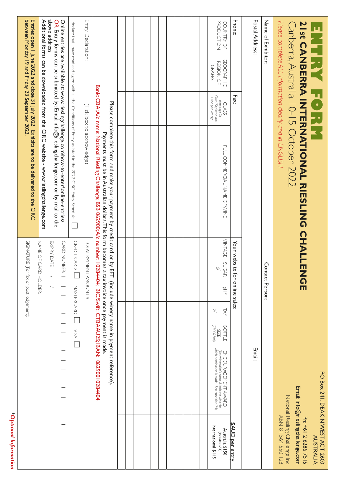|                                                                                                                                                                                    |                                                                                                                |                                      |                             |                           | SIGNATURE (For fax or post lodgement): |                | Entries open 1 June 2022 and close 31 July 2022. Exhibits are to be delivered to the CIRC                                                                                                    |                                                                    | between Monday 19 and Friday 23 September 2022.        |                                 |
|------------------------------------------------------------------------------------------------------------------------------------------------------------------------------------|----------------------------------------------------------------------------------------------------------------|--------------------------------------|-----------------------------|---------------------------|----------------------------------------|----------------|----------------------------------------------------------------------------------------------------------------------------------------------------------------------------------------------|--------------------------------------------------------------------|--------------------------------------------------------|---------------------------------|
|                                                                                                                                                                                    |                                                                                                                |                                      |                             |                           |                                        |                |                                                                                                                                                                                              |                                                                    |                                                        |                                 |
|                                                                                                                                                                                    |                                                                                                                |                                      |                             | <b>HOLDER:</b>            | NAME OF CARD                           |                | Additional forms can be downloaded from the CIRC website - www.rieslingchallenge.com                                                                                                         |                                                                    |                                                        | above address                   |
|                                                                                                                                                                                    |                                                                                                                |                                      |                             |                           | EXPIRY DATE:<br>CARD NUMBER:           |                | Online entries are available at: www.rieslingchallenge.com\how-to-enter\online-entries\<br>OR Entry forms can be submitted by: Email: info@rieslingchallenge.com or by mail to the           |                                                                    |                                                        |                                 |
|                                                                                                                                                                                    |                                                                                                                | MASTERCARD USA L                     |                             |                           | CREDIT CARD                            |                | I declare that I have read and agree with all the Conditions of Entry as listed in the 2022 CIRC Entry Schedule:                                                                             |                                                                    |                                                        |                                 |
|                                                                                                                                                                                    |                                                                                                                |                                      |                             |                           | TOTAL PAYMENT AMOUNT \$                |                | (Tick box to acknowledge)                                                                                                                                                                    |                                                                    |                                                        | Entry Declaration:              |
|                                                                                                                                                                                    |                                                                                                                | tax invoice once payment is made.    |                             |                           |                                        |                | Bank: CBA; A/c name: National Riesling Challenge; BSB 062900; A/c number: 10284404; BIC/Swift: CTBAAU2S; IBAN: 06290010284404<br>Payments must be in Australian dollars. This form becomes a |                                                                    |                                                        |                                 |
|                                                                                                                                                                                    |                                                                                                                |                                      |                             |                           |                                        |                | Please complete this form and make your payment by credit card or by EFT (include winery name in payment reference).                                                                         |                                                                    |                                                        |                                 |
|                                                                                                                                                                                    |                                                                                                                |                                      |                             |                           |                                        |                |                                                                                                                                                                                              |                                                                    |                                                        |                                 |
|                                                                                                                                                                                    |                                                                                                                |                                      |                             |                           |                                        |                |                                                                                                                                                                                              |                                                                    |                                                        |                                 |
|                                                                                                                                                                                    |                                                                                                                |                                      |                             |                           |                                        |                |                                                                                                                                                                                              |                                                                    |                                                        |                                 |
|                                                                                                                                                                                    |                                                                                                                |                                      |                             |                           |                                        |                |                                                                                                                                                                                              |                                                                    |                                                        |                                 |
|                                                                                                                                                                                    |                                                                                                                |                                      |                             |                           |                                        |                |                                                                                                                                                                                              |                                                                    |                                                        |                                 |
|                                                                                                                                                                                    |                                                                                                                |                                      |                             |                           |                                        |                |                                                                                                                                                                                              |                                                                    |                                                        |                                 |
|                                                                                                                                                                                    |                                                                                                                |                                      |                             |                           |                                        |                |                                                                                                                                                                                              |                                                                    |                                                        |                                 |
|                                                                                                                                                                                    |                                                                                                                |                                      |                             |                           |                                        |                |                                                                                                                                                                                              |                                                                    |                                                        |                                 |
|                                                                                                                                                                                    |                                                                                                                |                                      |                             |                           |                                        |                |                                                                                                                                                                                              |                                                                    |                                                        |                                 |
|                                                                                                                                                                                    |                                                                                                                |                                      |                             |                           |                                        |                |                                                                                                                                                                                              |                                                                    |                                                        |                                 |
| International \$145<br>Australia \$150<br>(Includes GST)                                                                                                                           | which nomination is made. See condition 24)<br>(List winemaker's name & indicate wine for<br>ENCOURAGEMT AWARD | (Im275/027)<br><b>BOTTLE</b><br>SIZE | TA*<br>$\frac{1}{\sqrt{2}}$ | $\mathbb{F}^{\mathsf{d}}$ | <b>SUGAR</b><br>$\leq$                 | <b>VINTAGE</b> | FOLL CONNERCIAL NAME OF SAME                                                                                                                                                                 | (see page 3)<br>Class 20 please use<br>I line per vintage<br>CLASS | <b>GEOGRAPHIC</b><br><b>REGION OF</b><br><b>GRAPES</b> | <b>PRODUCTION</b><br>COUNTRY OF |
| \$AUD per entry                                                                                                                                                                    |                                                                                                                |                                      |                             |                           | Your website for online sales:         |                |                                                                                                                                                                                              | Fax:                                                               |                                                        | Phone:                          |
|                                                                                                                                                                                    | <b>Email:</b>                                                                                                  |                                      |                             |                           |                                        |                |                                                                                                                                                                                              |                                                                    |                                                        | Postal Address                  |
|                                                                                                                                                                                    |                                                                                                                |                                      |                             | Contact Person:           |                                        |                |                                                                                                                                                                                              |                                                                    |                                                        | Name of Exhibitor:              |
| PO Box 241, DEAKIN WEST ACT 2600<br>Email: info@rieslingchallenge.com<br>National Riesling Challenge Inc<br>National Riesling Challenge<br>Ph: +61 2 6286 7515<br><b>AUSTRALIA</b> |                                                                                                                |                                      |                             | ົດ<br>m                   |                                        |                | Please complete ALL information clearly and in ENGLISH<br><b>ZISCONBERAM INTERNATIONAL RIESLING CHALLEN</b><br>Canberra, Australia 10-15 October 2022                                        | CHA                                                                |                                                        |                                 |

*\*Optional Information*

\*Optional Information